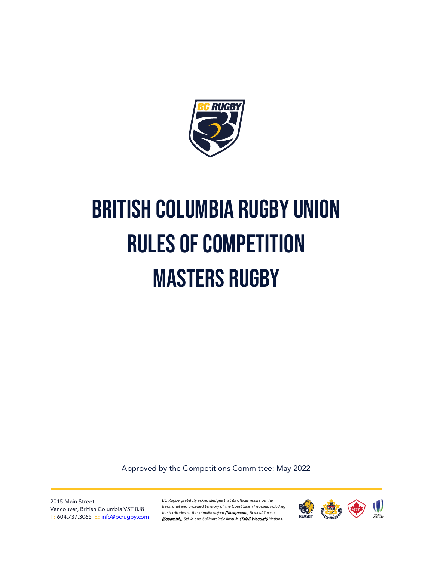

# British Columbia Rugby Union Rules of Competition **MASTERS RUGBY**

Approved by the Competitions Committee: May 2022

2015 Main Street Vancouver, British Columbia V5T 0J8 T: 604.737.3065 E: [info@bcrugby.com](mailto:info@bcrugby.com)

*BC Rugby gratefully acknowledges that its offices reside on the traditional and unceded territory of the Coast Salish Peoples, including the territories of the xʷməθkwəy̓əm* (Musqueam)*, Skwxwú7mesh*  (Squamish), Stó:lō and S*əl̓ílwətaʔ/Selilwitulh* (Tsleil-Waututh) *Nations.*

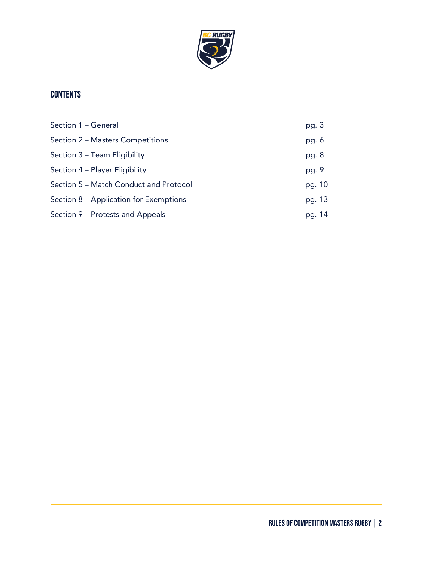

## **CONTENTS**

| Section 1 - General                    | pg. 3   |
|----------------------------------------|---------|
| Section 2 – Masters Competitions       | pg. $6$ |
| Section 3 – Team Eligibility           | pg. 8   |
| Section 4 – Player Eligibility         | pg. 9   |
| Section 5 – Match Conduct and Protocol | pg. 10  |
| Section 8 – Application for Exemptions | pg. 13  |
| Section 9 – Protests and Appeals       | pg. 14  |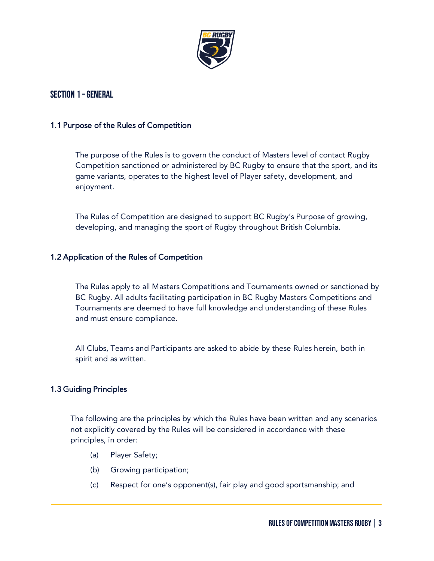

## Section 1 –General

#### 1.1 Purpose of the Rules of Competition

The purpose of the Rules is to govern the conduct of Masters level of contact Rugby Competition sanctioned or administered by BC Rugby to ensure that the sport, and its game variants, operates to the highest level of Player safety, development, and enjoyment.

The Rules of Competition are designed to support BC Rugby's Purpose of growing, developing, and managing the sport of Rugby throughout British Columbia.

#### 1.2 Application of the Rules of Competition

The Rules apply to all Masters Competitions and Tournaments owned or sanctioned by BC Rugby. All adults facilitating participation in BC Rugby Masters Competitions and Tournaments are deemed to have full knowledge and understanding of these Rules and must ensure compliance.

All Clubs, Teams and Participants are asked to abide by these Rules herein, both in spirit and as written.

#### 1.3 Guiding Principles

The following are the principles by which the Rules have been written and any scenarios not explicitly covered by the Rules will be considered in accordance with these principles, in order:

- (a) Player Safety;
- (b) Growing participation;
- (c) Respect for one's opponent(s), fair play and good sportsmanship; and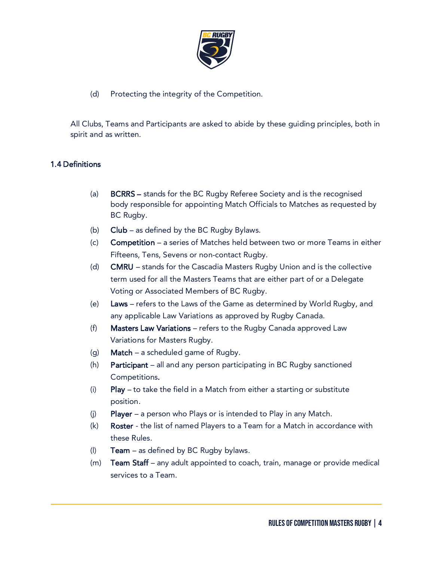

## (d) Protecting the integrity of the Competition.

All Clubs, Teams and Participants are asked to abide by these guiding principles, both in spirit and as written.

## 1.4 Definitions

- (a) BCRRS stands for the BC Rugby Referee Society and is the recognised body responsible for appointing Match Officials to Matches as requested by BC Rugby.
- (b) Club as defined by the BC Rugby Bylaws.
- (c) Competition a series of Matches held between two or more Teams in either Fifteens, Tens, Sevens or non-contact Rugby.
- (d) CMRU stands for the Cascadia Masters Rugby Union and is the collective term used for all the Masters Teams that are either part of or a Delegate Voting or Associated Members of BC Rugby.
- (e) Laws refers to the Laws of the Game as determined by World Rugby, and any applicable Law Variations as approved by Rugby Canada.
- (f) Masters Law Variations refers to the Rugby Canada approved Law Variations for Masters Rugby.
- (g) **Match** a scheduled game of Rugby.
- (h) Participant all and any person participating in BC Rugby sanctioned Competitions.
- (i) Play to take the field in a Match from either a starting or substitute position.
- (i) Player a person who Plays or is intended to Play in any Match.
- (k) Roster the list of named Players to a Team for a Match in accordance with these Rules.
- (I) **Team** as defined by BC Rugby bylaws.
- (m) Team Staff any adult appointed to coach, train, manage or provide medical services to a Team.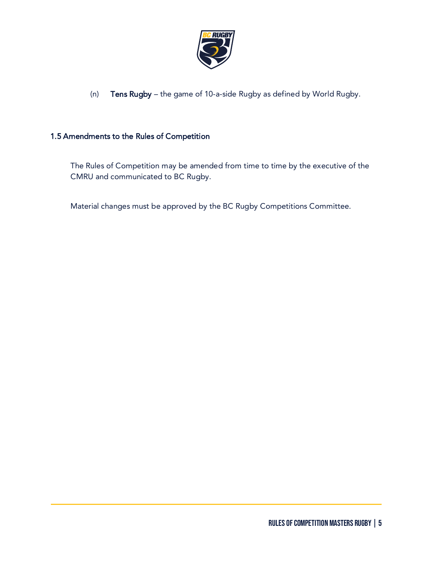

(n) Tens Rugby – the game of 10-a-side Rugby as defined by World Rugby.

## 1.5 Amendments to the Rules of Competition

The Rules of Competition may be amended from time to time by the executive of the CMRU and communicated to BC Rugby.

Material changes must be approved by the BC Rugby Competitions Committee.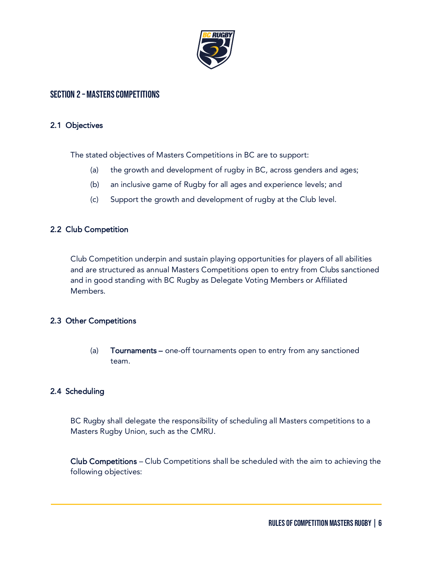

## SECTION 2 - MASTERS COMPETITIONS

#### 2.1 Objectives

The stated objectives of Masters Competitions in BC are to support:

- (a) the growth and development of rugby in BC, across genders and ages;
- (b) an inclusive game of Rugby for all ages and experience levels; and
- (c) Support the growth and development of rugby at the Club level.

## 2.2 Club Competition

Club Competition underpin and sustain playing opportunities for players of all abilities and are structured as annual Masters Competitions open to entry from Clubs sanctioned and in good standing with BC Rugby as Delegate Voting Members or Affiliated Members.

## 2.3 Other Competitions

(a) Tournaments – one-off tournaments open to entry from any sanctioned team.

## 2.4 Scheduling

BC Rugby shall delegate the responsibility of scheduling all Masters competitions to a Masters Rugby Union, such as the CMRU.

Club Competitions – Club Competitions shall be scheduled with the aim to achieving the following objectives: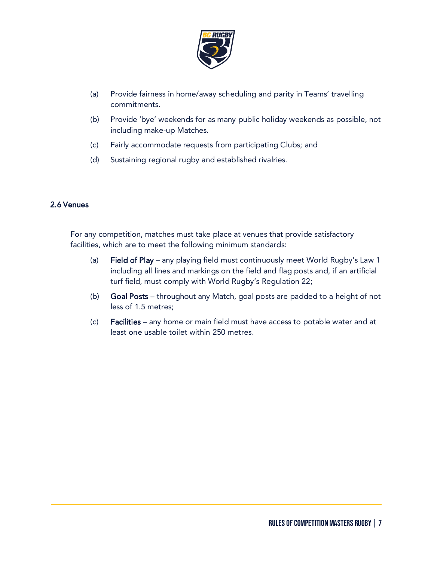

- (a) Provide fairness in home/away scheduling and parity in Teams' travelling commitments.
- (b) Provide 'bye' weekends for as many public holiday weekends as possible, not including make-up Matches.
- (c) Fairly accommodate requests from participating Clubs; and
- (d) Sustaining regional rugby and established rivalries.

#### 2.6 Venues

For any competition, matches must take place at venues that provide satisfactory facilities, which are to meet the following minimum standards:

- (a) Field of Play any playing field must continuously meet World Rugby's Law 1 including all lines and markings on the field and flag posts and, if an artificial turf field, must comply with World Rugby's Regulation 22;
- (b) Goal Posts throughout any Match, goal posts are padded to a height of not less of 1.5 metres;
- (c) Facilities any home or main field must have access to potable water and at least one usable toilet within 250 metres.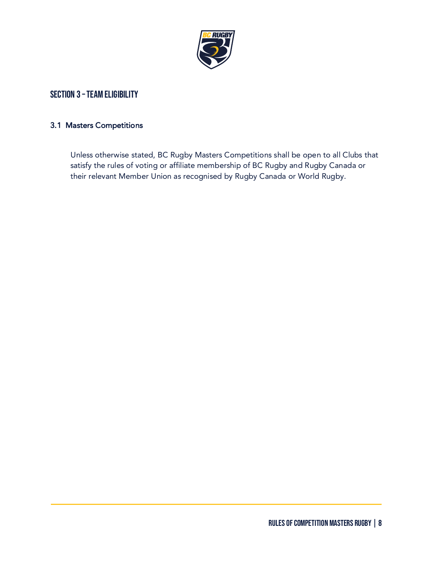

## SECTION 3 - TEAM ELIGIBILITY

#### 3.1 Masters Competitions

Unless otherwise stated, BC Rugby Masters Competitions shall be open to all Clubs that satisfy the rules of voting or affiliate membership of BC Rugby and Rugby Canada or their relevant Member Union as recognised by Rugby Canada or World Rugby.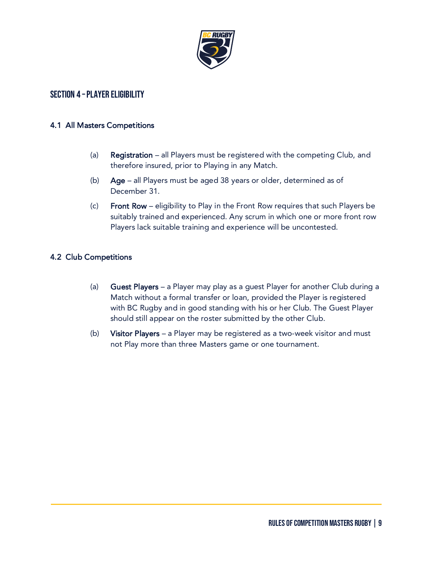

## SECTION 4 - PLAYER ELIGIBILITY

#### 4.1 All Masters Competitions

- (a) Registration all Players must be registered with the competing Club, and therefore insured, prior to Playing in any Match.
- (b) Age all Players must be aged 38 years or older, determined as of December 31.
- (c) Front Row eligibility to Play in the Front Row requires that such Players be suitably trained and experienced. Any scrum in which one or more front row Players lack suitable training and experience will be uncontested.

## 4.2 Club Competitions

- (a) Guest Players a Player may play as a guest Player for another Club during a Match without a formal transfer or loan, provided the Player is registered with BC Rugby and in good standing with his or her Club. The Guest Player should still appear on the roster submitted by the other Club.
- (b) Visitor Players a Player may be registered as a two-week visitor and must not Play more than three Masters game or one tournament.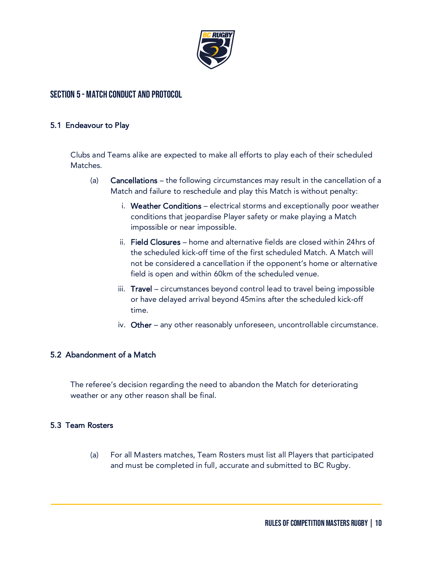

## Section 5 - Match Conduct and Protocol

#### 5.1 Endeavour to Play

Clubs and Teams alike are expected to make all efforts to play each of their scheduled Matches.

- (a) Cancellations the following circumstances may result in the cancellation of a Match and failure to reschedule and play this Match is without penalty:
	- i. Weather Conditions electrical storms and exceptionally poor weather conditions that jeopardise Player safety or make playing a Match impossible or near impossible.
	- ii. Field Closures home and alternative fields are closed within 24hrs of the scheduled kick-off time of the first scheduled Match. A Match will not be considered a cancellation if the opponent's home or alternative field is open and within 60km of the scheduled venue.
	- iii. Travel circumstances beyond control lead to travel being impossible or have delayed arrival beyond 45mins after the scheduled kick-off time.
	- iv. Other any other reasonably unforeseen, uncontrollable circumstance.

#### 5.2 Abandonment of a Match

The referee's decision regarding the need to abandon the Match for deteriorating weather or any other reason shall be final.

#### 5.3 Team Rosters

(a) For all Masters matches, Team Rosters must list all Players that participated and must be completed in full, accurate and submitted to BC Rugby.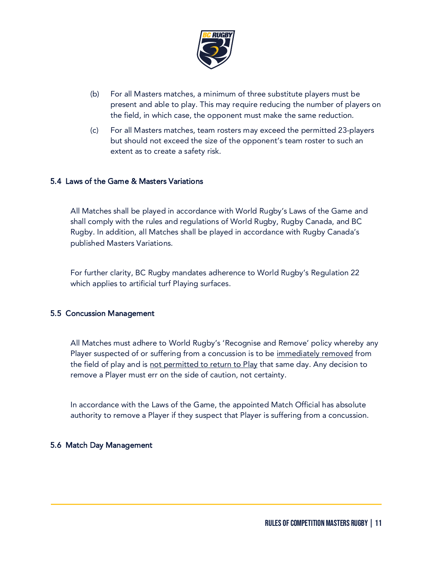

- (b) For all Masters matches, a minimum of three substitute players must be present and able to play. This may require reducing the number of players on the field, in which case, the opponent must make the same reduction.
- (c) For all Masters matches, team rosters may exceed the permitted 23-players but should not exceed the size of the opponent's team roster to such an extent as to create a safety risk.

## 5.4 Laws of the Game & Masters Variations

All Matches shall be played in accordance with World Rugby's Laws of the Game and shall comply with the rules and regulations of World Rugby, Rugby Canada, and BC Rugby. In addition, all Matches shall be played in accordance with Rugby Canada's published Masters Variations.

For further clarity, BC Rugby mandates adherence to World Rugby's Regulation 22 which applies to artificial turf Playing surfaces.

#### 5.5 Concussion Management

All Matches must adhere to World Rugby's 'Recognise and Remove' policy whereby any Player suspected of or suffering from a concussion is to be <u>immediately removed</u> from the field of play and is not permitted to return to Play that same day. Any decision to remove a Player must err on the side of caution, not certainty.

In accordance with the Laws of the Game, the appointed Match Official has absolute authority to remove a Player if they suspect that Player is suffering from a concussion.

#### 5.6 Match Day Management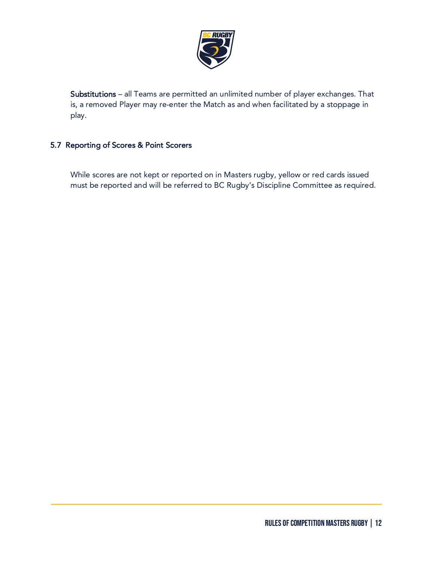

Substitutions – all Teams are permitted an unlimited number of player exchanges. That is, a removed Player may re-enter the Match as and when facilitated by a stoppage in play.

## 5.7 Reporting of Scores & Point Scorers

While scores are not kept or reported on in Masters rugby, yellow or red cards issued must be reported and will be referred to BC Rugby's Discipline Committee as required.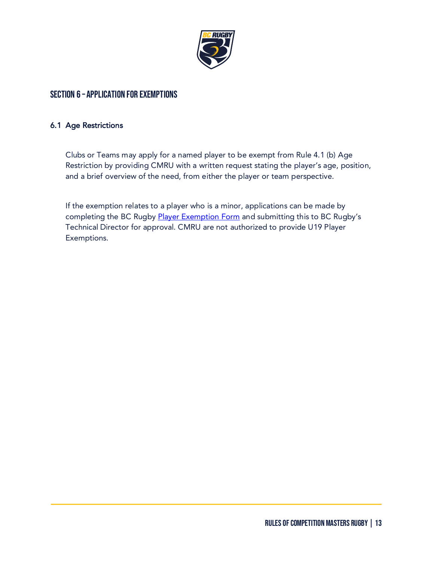

## Section 6 – APPLICATION FOR EXEMPTIONS

#### 6.1 Age Restrictions

Clubs or Teams may apply for a named player to be exempt from Rule 4.1 (b) Age Restriction by providing CMRU with a written request stating the player's age, position, and a brief overview of the need, from either the player or team perspective.

If the exemption relates to a player who is a minor, applications can be made by completing the BC Rugby [Player Exemption Form](https://bcrugby.com/wp-content/uploads/2021/10/BC-Rugby-Player-Exemption-Form.pdf) and submitting this to BC Rugby's Technical Director for approval. CMRU are not authorized to provide U19 Player Exemptions.